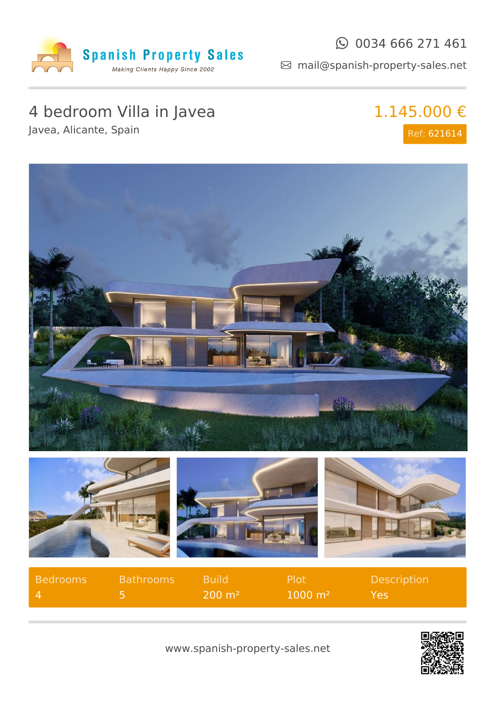

#### $\odot$  0034 666 271 461

mail@spanish-property-sales.net

# 4 bedroom Villa in Javea

Javea, Alicante, Spain

## 1.145.000 € Ref: 621614



| Bedrooms | <b>Bathrooms</b> | <b>Build</b>   | Plot               | Description |
|----------|------------------|----------------|--------------------|-------------|
|          |                  | $\sim$ 200 m². | $1000 \text{ m}^2$ | Yes         |

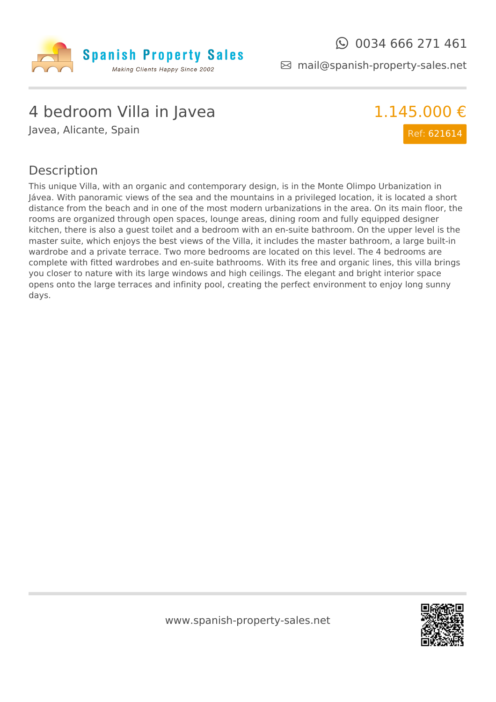

mail@spanish-property-sales.net

### 4 bedroom Villa in Javea

Javea, Alicante, Spain



#### Description

This unique Villa, with an organic and contemporary design, is in the Monte Olimpo Urbanization in Jávea. With panoramic views of the sea and the mountains in a privileged location, it is located a short distance from the beach and in one of the most modern urbanizations in the area. On its main floor, the rooms are organized through open spaces, lounge areas, dining room and fully equipped designer kitchen, there is also a guest toilet and a bedroom with an en-suite bathroom. On the upper level is the master suite, which enjoys the best views of the Villa, it includes the master bathroom, a large built-in wardrobe and a private terrace. Two more bedrooms are located on this level. The 4 bedrooms are complete with fitted wardrobes and en-suite bathrooms. With its free and organic lines, this villa brings you closer to nature with its large windows and high ceilings. The elegant and bright interior space opens onto the large terraces and infinity pool, creating the perfect environment to enjoy long sunny days.